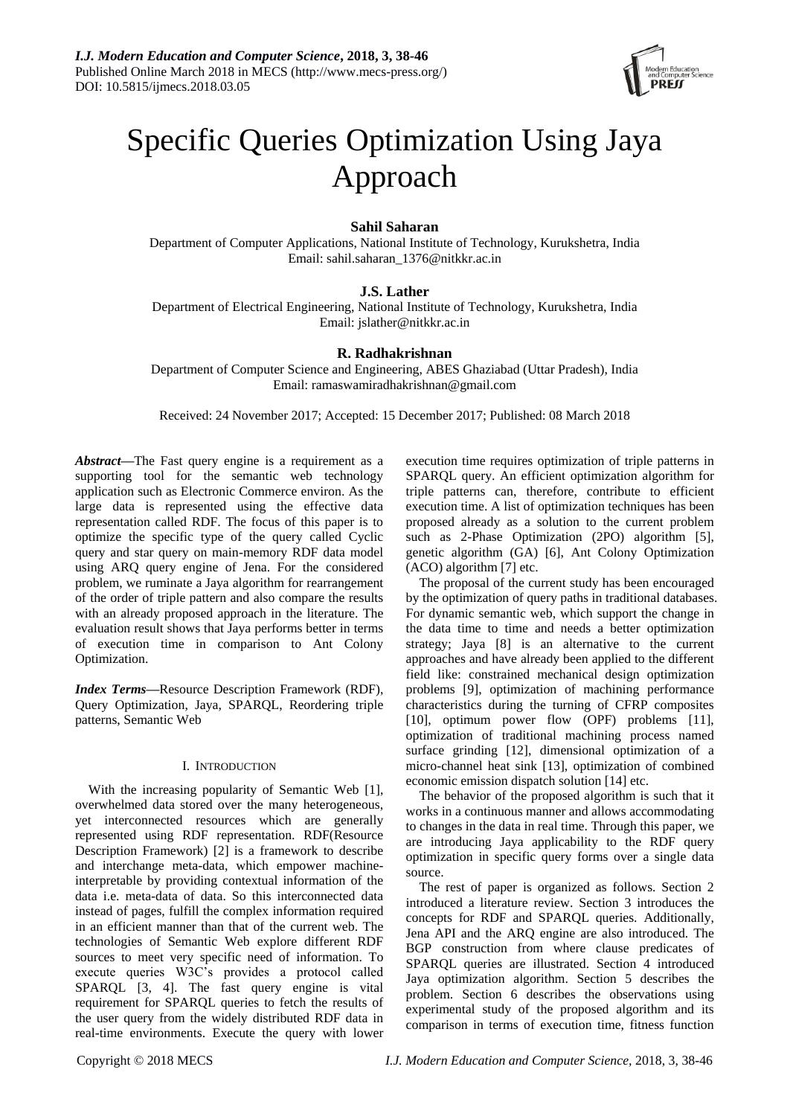

# Specific Queries Optimization Using Jaya Approach

# **Sahil Saharan**

Department of Computer Applications, National Institute of Technology, Kurukshetra, India Email: sahil.saharan\_1376@nitkkr.ac.in

# **J.S. Lather**

Department of Electrical Engineering, National Institute of Technology, Kurukshetra, India Email: jslather@nitkkr.ac.in

# **R. Radhakrishnan**

Department of Computer Science and Engineering, ABES Ghaziabad (Uttar Pradesh), India Email: ramaswamiradhakrishnan@gmail.com

Received: 24 November 2017; Accepted: 15 December 2017; Published: 08 March 2018

*Abstract—*The Fast query engine is a requirement as a supporting tool for the semantic web technology application such as Electronic Commerce environ. As the large data is represented using the effective data representation called RDF. The focus of this paper is to optimize the specific type of the query called Cyclic query and star query on main-memory RDF data model using ARQ query engine of Jena. For the considered problem, we ruminate a Jaya algorithm for rearrangement of the order of triple pattern and also compare the results with an already proposed approach in the literature. The evaluation result shows that Jaya performs better in terms of execution time in comparison to Ant Colony Optimization.

*Index Terms—*Resource Description Framework (RDF), Query Optimization, Jaya, SPARQL, Reordering triple patterns, Semantic Web

# I. INTRODUCTION

With the increasing popularity of Semantic Web [1], overwhelmed data stored over the many heterogeneous, yet interconnected resources which are generally represented using RDF representation. RDF(Resource Description Framework) [2] is a framework to describe and interchange meta-data, which empower machineinterpretable by providing contextual information of the data i.e. meta-data of data. So this interconnected data instead of pages, fulfill the complex information required in an efficient manner than that of the current web. The technologies of Semantic Web explore different RDF sources to meet very specific need of information. To execute queries W3C's provides a protocol called SPARQL [3, 4]. The fast query engine is vital requirement for SPARQL queries to fetch the results of the user query from the widely distributed RDF data in real-time environments. Execute the query with lower

execution time requires optimization of triple patterns in SPARQL query. An efficient optimization algorithm for triple patterns can, therefore, contribute to efficient execution time. A list of optimization techniques has been proposed already as a solution to the current problem such as 2-Phase Optimization (2PO) algorithm [5], genetic algorithm (GA) [6], Ant Colony Optimization (ACO) algorithm [7] etc.

The proposal of the current study has been encouraged by the optimization of query paths in traditional databases. For dynamic semantic web, which support the change in the data time to time and needs a better optimization strategy; Jaya [8] is an alternative to the current approaches and have already been applied to the different field like: constrained mechanical design optimization problems [9], optimization of machining performance characteristics during the turning of CFRP composites [10], optimum power flow (OPF) problems [11], optimization of traditional machining process named surface grinding [12], dimensional optimization of a micro-channel heat sink [13], optimization of combined economic emission dispatch solution [14] etc.

The behavior of the proposed algorithm is such that it works in a continuous manner and allows accommodating to changes in the data in real time. Through this paper, we are introducing Jaya applicability to the RDF query optimization in specific query forms over a single data source.

The rest of paper is organized as follows. Section 2 introduced a literature review. Section 3 introduces the concepts for RDF and SPARQL queries. Additionally, Jena API and the ARQ engine are also introduced. The BGP construction from where clause predicates of SPARQL queries are illustrated. Section 4 introduced Jaya optimization algorithm. Section 5 describes the problem. Section 6 describes the observations using experimental study of the proposed algorithm and its comparison in terms of execution time, fitness function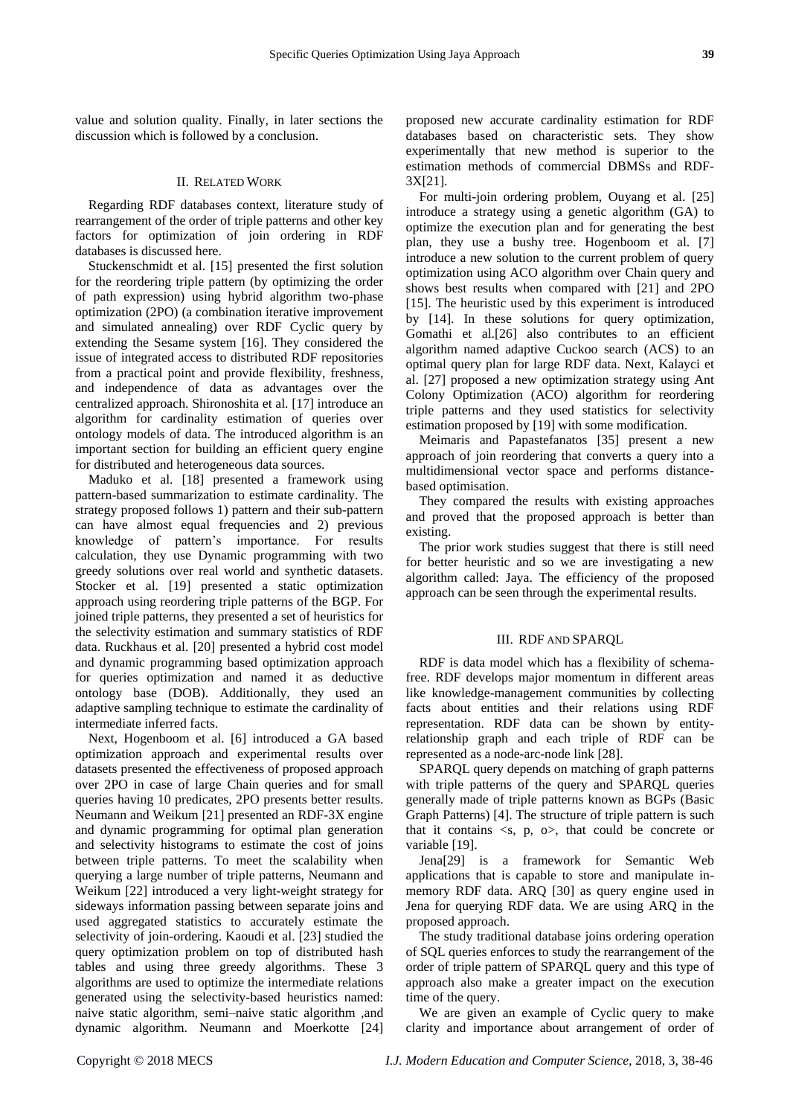value and solution quality. Finally, in later sections the discussion which is followed by a conclusion.

#### II. RELATED WORK

Regarding RDF databases context, literature study of rearrangement of the order of triple patterns and other key factors for optimization of join ordering in RDF databases is discussed here.

Stuckenschmidt et al. [15] presented the first solution for the reordering triple pattern (by optimizing the order of path expression) using hybrid algorithm two-phase optimization (2PO) (a combination iterative improvement and simulated annealing) over RDF Cyclic query by extending the Sesame system [16]. They considered the issue of integrated access to distributed RDF repositories from a practical point and provide flexibility, freshness, and independence of data as advantages over the centralized approach. Shironoshita et al. [17] introduce an algorithm for cardinality estimation of queries over ontology models of data. The introduced algorithm is an important section for building an efficient query engine for distributed and heterogeneous data sources.

Maduko et al. [18] presented a framework using pattern-based summarization to estimate cardinality. The strategy proposed follows 1) pattern and their sub-pattern can have almost equal frequencies and 2) previous knowledge of pattern's importance. For results calculation, they use Dynamic programming with two greedy solutions over real world and synthetic datasets. Stocker et al. [19] presented a static optimization approach using reordering triple patterns of the BGP. For joined triple patterns, they presented a set of heuristics for the selectivity estimation and summary statistics of RDF data. Ruckhaus et al. [20] presented a hybrid cost model and dynamic programming based optimization approach for queries optimization and named it as deductive ontology base (DOB). Additionally, they used an adaptive sampling technique to estimate the cardinality of intermediate inferred facts.

Next, Hogenboom et al. [6] introduced a GA based optimization approach and experimental results over datasets presented the effectiveness of proposed approach over 2PO in case of large Chain queries and for small queries having 10 predicates, 2PO presents better results. Neumann and Weikum [21] presented an RDF-3X engine and dynamic programming for optimal plan generation and selectivity histograms to estimate the cost of joins between triple patterns. To meet the scalability when querying a large number of triple patterns, Neumann and Weikum [22] introduced a very light-weight strategy for sideways information passing between separate joins and used aggregated statistics to accurately estimate the selectivity of join-ordering. Kaoudi et al. [23] studied the query optimization problem on top of distributed hash tables and using three greedy algorithms. These 3 algorithms are used to optimize the intermediate relations generated using the selectivity-based heuristics named: naive static algorithm, semi–naive static algorithm ,and dynamic algorithm. Neumann and Moerkotte [24]

proposed new accurate cardinality estimation for RDF databases based on characteristic sets. They show experimentally that new method is superior to the estimation methods of commercial DBMSs and RDF-3X[21].

For multi-join ordering problem, Ouyang et al. [25] introduce a strategy using a genetic algorithm (GA) to optimize the execution plan and for generating the best plan, they use a bushy tree. Hogenboom et al. [7] introduce a new solution to the current problem of query optimization using ACO algorithm over Chain query and shows best results when compared with [21] and 2PO [15]. The heuristic used by this experiment is introduced by [14]. In these solutions for query optimization, Gomathi et al.[26] also contributes to an efficient algorithm named adaptive Cuckoo search (ACS) to an optimal query plan for large RDF data. Next, Kalayci et al. [27] proposed a new optimization strategy using Ant Colony Optimization (ACO) algorithm for reordering triple patterns and they used statistics for selectivity estimation proposed by [19] with some modification.

Meimaris and Papastefanatos [35] present a new approach of join reordering that converts a query into a multidimensional vector space and performs distancebased optimisation.

They compared the results with existing approaches and proved that the proposed approach is better than existing.

The prior work studies suggest that there is still need for better heuristic and so we are investigating a new algorithm called: Jaya. The efficiency of the proposed approach can be seen through the experimental results.

#### III. RDF AND SPARQL

RDF is data model which has a flexibility of schemafree. RDF develops major momentum in different areas like knowledge-management communities by collecting facts about entities and their relations using RDF representation. RDF data can be shown by entityrelationship graph and each triple of RDF can be represented as a node-arc-node link [28].

SPARQL query depends on matching of graph patterns with triple patterns of the query and SPARQL queries generally made of triple patterns known as BGPs (Basic Graph Patterns) [4]. The structure of triple pattern is such that it contains  $\langle s, p, \rho \rangle$ , that could be concrete or variable [19].

Jena[29] is a framework for Semantic Web applications that is capable to store and manipulate inmemory RDF data. ARQ [30] as query engine used in Jena for querying RDF data. We are using ARQ in the proposed approach.

The study traditional database joins ordering operation of SQL queries enforces to study the rearrangement of the order of triple pattern of SPARQL query and this type of approach also make a greater impact on the execution time of the query.

We are given an example of Cyclic query to make clarity and importance about arrangement of order of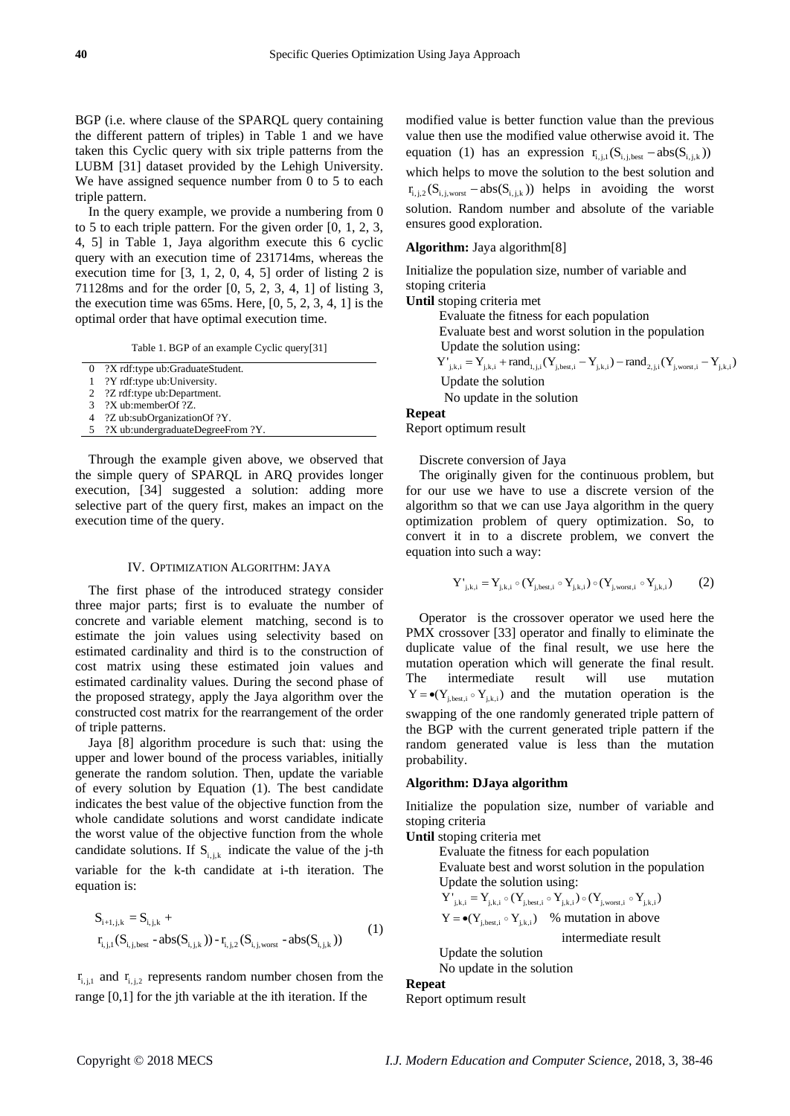BGP (i.e. where clause of the SPARQL query containing the different pattern of triples) in Table 1 and we have taken this Cyclic query with six triple patterns from the LUBM [31] dataset provided by the Lehigh University. We have assigned sequence number from 0 to 5 to each triple pattern.

In the query example, we provide a numbering from 0 to 5 to each triple pattern. For the given order [0, 1, 2, 3, 4, 5] in Table 1, Jaya algorithm execute this 6 cyclic query with an execution time of 231714ms, whereas the execution time for [3, 1, 2, 0, 4, 5] order of listing 2 is 71128ms and for the order [0, 5, 2, 3, 4, 1] of listing 3, the execution time was  $65 \text{ms}$ . Here,  $[0, 5, 2, 3, 4, 1]$  is the optimal order that have optimal execution time.

Table 1. BGP of an example Cyclic query[31]

0 ?X rdf:type ub:GraduateStudent.

1 ?Y rdf:type ub:University.

2 ?Z rdf:type ub:Department.

3 ?X ub:memberOf ?Z.

4 ?Z ub:subOrganizationOf ?Y.

5 ?X ub:undergraduateDegreeFrom ?Y.

Through the example given above, we observed that the simple query of SPARQL in ARQ provides longer execution, [34] suggested a solution: adding more selective part of the query first, makes an impact on the execution time of the query.

#### IV. OPTIMIZATION ALGORITHM: JAYA

The first phase of the introduced strategy consider three major parts; first is to evaluate the number of concrete and variable element matching, second is to estimate the join values using selectivity based on estimated cardinality and third is to the construction of cost matrix using these estimated join values and estimated cardinality values. During the second phase of the proposed strategy, apply the Jaya algorithm over the constructed cost matrix for the rearrangement of the order of triple patterns.

Jaya [8] algorithm procedure is such that: using the upper and lower bound of the process variables, initially generate the random solution. Then, update the variable of every solution by Equation (1). The best candidate indicates the best value of the objective function from the whole candidate solutions and worst candidate indicate the worst value of the objective function from the whole candidate solutions. If  $S_{i,j,k}$  indicate the value of the j-th variable for the k-th candidate at i-th iteration. The equation is:

$$
S_{i+1,j,k} = S_{i,j,k} +\nr_{i,j,1}(S_{i,j,best} - abs(S_{i,j,k})) - r_{i,j,2}(S_{i,j,worst} - abs(S_{i,j,k}))
$$
\n(1)

 $r_{i,j,1}$  and  $r_{i,j,2}$  represents random number chosen from the range [0,1] for the jth variable at the ith iteration. If the

modified value is better function value than the previous value then use the modified value otherwise avoid it. The equation (1) has an expression  $r_{i,j,1}(S_{i,j,best} - abs(S_{i,j,k}))$ which helps to move the solution to the best solution and  $r_{i,i,2}$  (S<sub>i, i, worst</sub> – abs(S<sub>i, i,k</sub>)) helps in avoiding the worst solution. Random number and absolute of the variable ensures good exploration.

## **Algorithm:** Jaya algorithm[8]

Initialize the population size, number of variable and stoping criteria

**Until** stoping criteria met

Evaluate the fitness for each population

 Evaluate best and worst solution in the population Update the solution using:

 $Y'_{j,k,i} = Y_{j,k,i} + rand_{1,j,i} (Y_{j,best,i} - Y_{j,k,i}) - rand_{2,j,i} (Y_{i,worst,i} - Y_{i,k,i})$ 

Update the solution

No update in the solution

**Repeat**  Report optimum result

Discrete conversion of Jaya

The originally given for the continuous problem, but for our use we have to use a discrete version of the algorithm so that we can use Jaya algorithm in the query optimization problem of query optimization. So, to convert it in to a discrete problem, we convert the equation into such a way:

$$
Y'_{j,k,i} = Y_{j,k,i} \circ (Y_{j,best,i} \circ Y_{j,k,i}) \circ (Y_{j,worst,i} \circ Y_{j,k,i})
$$
 (2)

Operator is the crossover operator we used here the PMX crossover [33] operator and finally to eliminate the duplicate value of the final result, we use here the mutation operation which will generate the final result. The intermediate result will use mutation  $Y = \bullet(Y_{j,\text{best},i} \circ Y_{j,k,i})$  and the mutation operation is the swapping of the one randomly generated triple pattern of the BGP with the current generated triple pattern if the random generated value is less than the mutation probability.

#### **Algorithm: DJaya algorithm**

Initialize the population size, number of variable and stoping criteria

**Until** stoping criteria met

 Evaluate the fitness for each population Evaluate best and worst solution in the population Update the solution using: Update the solution using:<br> $Y'_{j,k,i} = Y_{j,k,i} \circ (Y_{j,best,i} \circ Y_{j,k,i}) \circ (Y_{j,worst,i} \circ Y_{j,k,i})$  $Y = \bullet(Y_{j,\text{best},i} \circ Y_{j,k,i})$  % mutation in above

intermediate result

 Update the solution No update in the solution

# **Repeat**

Report optimum result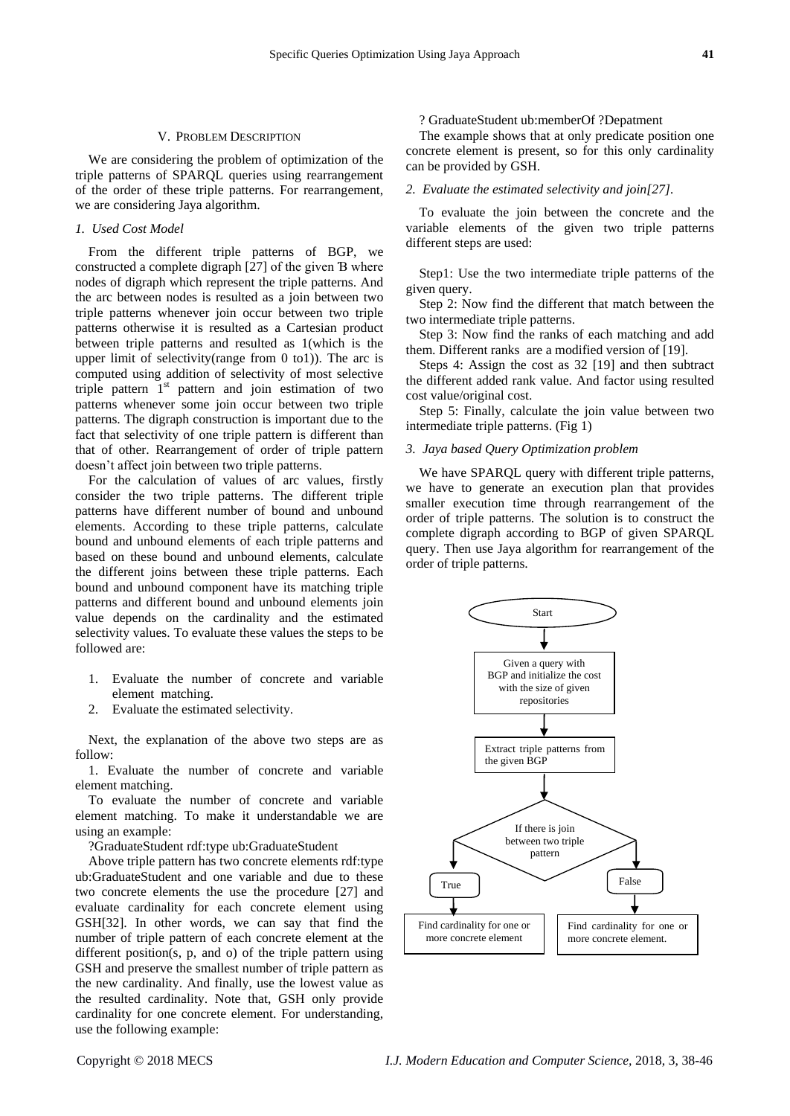#### V. PROBLEM DESCRIPTION

We are considering the problem of optimization of the triple patterns of SPARQL queries using rearrangement of the order of these triple patterns. For rearrangement, we are considering Jaya algorithm.

# *1. Used Cost Model*

From the different triple patterns of BGP, we constructed a complete digraph [27] of the given Ɓ where nodes of digraph which represent the triple patterns. And the arc between nodes is resulted as a join between two triple patterns whenever join occur between two triple patterns otherwise it is resulted as a Cartesian product between triple patterns and resulted as 1(which is the upper limit of selectivity(range from 0 to1)). The arc is computed using addition of selectivity of most selective triple pattern 1<sup>st</sup> pattern and join estimation of two patterns whenever some join occur between two triple patterns. The digraph construction is important due to the fact that selectivity of one triple pattern is different than that of other. Rearrangement of order of triple pattern doesn't affect join between two triple patterns.

For the calculation of values of arc values, firstly consider the two triple patterns. The different triple patterns have different number of bound and unbound elements. According to these triple patterns, calculate bound and unbound elements of each triple patterns and based on these bound and unbound elements, calculate the different joins between these triple patterns. Each bound and unbound component have its matching triple patterns and different bound and unbound elements join value depends on the cardinality and the estimated selectivity values. To evaluate these values the steps to be followed are:

- 1. Evaluate the number of concrete and variable element matching.
- 2. Evaluate the estimated selectivity.

Next, the explanation of the above two steps are as follow:

1. Evaluate the number of concrete and variable element matching.

To evaluate the number of concrete and variable element matching. To make it understandable we are using an example:

?GraduateStudent rdf:type ub:GraduateStudent

Above triple pattern has two concrete elements rdf:type ub:GraduateStudent and one variable and due to these two concrete elements the use the procedure [27] and evaluate cardinality for each concrete element using GSH[32]. In other words, we can say that find the number of triple pattern of each concrete element at the different position(s, p, and o) of the triple pattern using GSH and preserve the smallest number of triple pattern as the new cardinality. And finally, use the lowest value as the resulted cardinality. Note that, GSH only provide cardinality for one concrete element. For understanding, use the following example:

#### ? GraduateStudent ub:memberOf ?Depatment

The example shows that at only predicate position one concrete element is present, so for this only cardinality can be provided by GSH.

## *2. Evaluate the estimated selectivity and join[27].*

To evaluate the join between the concrete and the variable elements of the given two triple patterns different steps are used:

Step1: Use the two intermediate triple patterns of the given query.

Step 2: Now find the different that match between the two intermediate triple patterns.

Step 3: Now find the ranks of each matching and add them. Different ranks are a modified version of [19].

Steps 4: Assign the cost as 32 [19] and then subtract the different added rank value. And factor using resulted cost value/original cost.

Step 5: Finally, calculate the join value between two intermediate triple patterns. (Fig 1)

# *3. Jaya based Query Optimization problem*

We have SPARQL query with different triple patterns, we have to generate an execution plan that provides smaller execution time through rearrangement of the order of triple patterns. The solution is to construct the complete digraph according to BGP of given SPARQL query. Then use Jaya algorithm for rearrangement of the order of triple patterns.

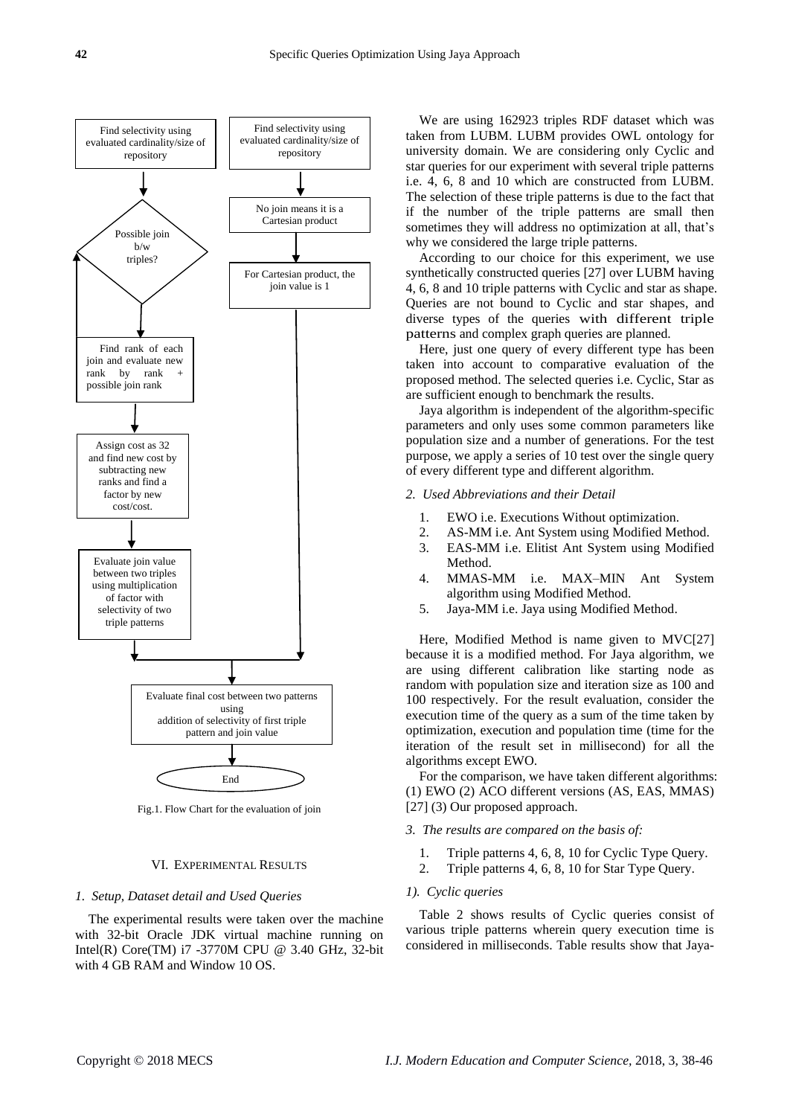

Fig.1. Flow Chart for the evaluation of join

#### VI. EXPERIMENTAL RESULTS

#### *1. Setup, Dataset detail and Used Queries*

The experimental results were taken over the machine with 32-bit Oracle JDK virtual machine running on Intel(R) Core(TM) i7 -3770M CPU @ 3.40 GHz, 32-bit with 4 GB RAM and Window 10 OS.

We are using 162923 triples RDF dataset which was taken from LUBM. LUBM provides OWL ontology for university domain. We are considering only Cyclic and star queries for our experiment with several triple patterns i.e. 4, 6, 8 and 10 which are constructed from LUBM. The selection of these triple patterns is due to the fact that if the number of the triple patterns are small then sometimes they will address no optimization at all, that's why we considered the large triple patterns.

According to our choice for this experiment, we use synthetically constructed queries [27] over LUBM having 4, 6, 8 and 10 triple patterns with Cyclic and star as shape. Queries are not bound to Cyclic and star shapes, and diverse types of the queries with different triple patterns and complex graph queries are planned.

Here, just one query of every different type has been taken into account to comparative evaluation of the proposed method. The selected queries i.e. Cyclic, Star as are sufficient enough to benchmark the results.

Jaya algorithm is independent of the algorithm-specific parameters and only uses some common parameters like population size and a number of generations. For the test purpose, we apply a series of 10 test over the single query of every different type and different algorithm.

- *2. Used Abbreviations and their Detail*
	- 1. EWO i.e. Executions Without optimization.
	- 2. AS-MM i.e. Ant System using Modified Method.
	- 3. EAS-MM i.e. Elitist Ant System using Modified **Method**
	- 4. MMAS-MM i.e. MAX–MIN Ant System algorithm using Modified Method.
	- 5. Jaya-MM i.e. Jaya using Modified Method.

Here, Modified Method is name given to MVC[27] because it is a modified method. For Jaya algorithm, we are using different calibration like starting node as random with population size and iteration size as 100 and 100 respectively. For the result evaluation, consider the execution time of the query as a sum of the time taken by optimization, execution and population time (time for the iteration of the result set in millisecond) for all the algorithms except EWO.

For the comparison, we have taken different algorithms: (1) EWO (2) ACO different versions (AS, EAS, MMAS) [27] (3) Our proposed approach.

#### *3. The results are compared on the basis of:*

- 1. Triple patterns 4, 6, 8, 10 for Cyclic Type Query.
- 2. Triple patterns 4, 6, 8, 10 for Star Type Query.

# *1). Cyclic queries*

Table 2 shows results of Cyclic queries consist of various triple patterns wherein query execution time is considered in milliseconds. Table results show that Jaya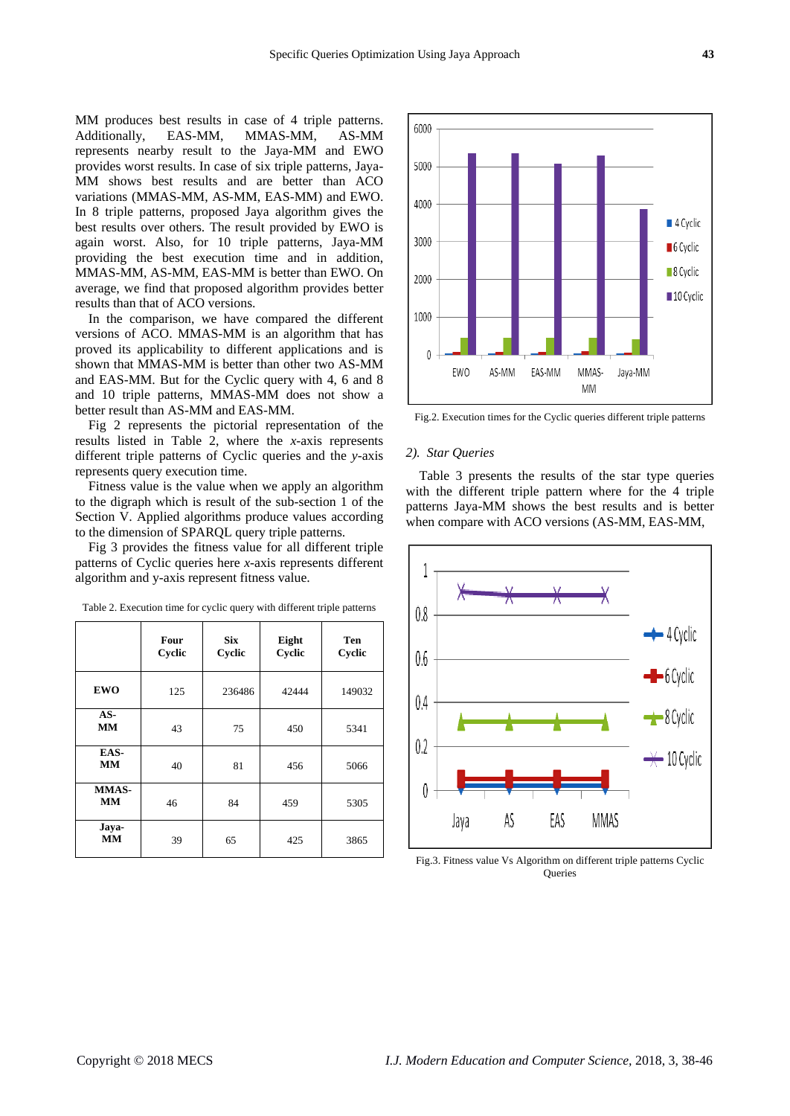MM produces best results in case of 4 triple patterns. Additionally, EAS-MM, MMAS-MM, AS-MM represents nearby result to the Jaya-MM and EWO provides worst results. In case of six triple patterns, Jaya-MM shows best results and are better than ACO variations (MMAS-MM, AS-MM, EAS-MM) and EWO. In 8 triple patterns, proposed Jaya algorithm gives the best results over others. The result provided by EWO is again worst. Also, for 10 triple patterns, Jaya-MM providing the best execution time and in addition, MMAS-MM, AS-MM, EAS-MM is better than EWO. On average, we find that proposed algorithm provides better results than that of ACO versions.

In the comparison, we have compared the different versions of ACO. MMAS-MM is an algorithm that has proved its applicability to different applications and is shown that MMAS-MM is better than other two AS-MM and EAS-MM. But for the Cyclic query with 4, 6 and 8 and 10 triple patterns, MMAS-MM does not show a better result than AS-MM and EAS-MM.

Fig 2 represents the pictorial representation of the results listed in Table 2, where the *x*-axis represents different triple patterns of Cyclic queries and the *y*-axis represents query execution time.

Fitness value is the value when we apply an algorithm to the digraph which is result of the sub-section 1 of the Section V. Applied algorithms produce values according to the dimension of SPARQL query triple patterns.

Fig 3 provides the fitness value for all different triple patterns of Cyclic queries here *x*-axis represents different algorithm and y-axis represent fitness value.

|                    | Four<br>Cyclic | <b>Six</b><br>Cyclic | Eight<br>Cyclic | Ten<br>Cyclic |
|--------------------|----------------|----------------------|-----------------|---------------|
| <b>EWO</b>         | 125            | 236486               | 42444           | 149032        |
| $AS-$<br><b>MM</b> | 43             | 75                   | 450             | 5341          |
| EAS-<br><b>MM</b>  | 40             | 81                   | 456             | 5066          |
| MMAS-<br>MM        | 46             | 84                   | 459             | 5305          |
| Jaya-<br><b>MM</b> | 39             | 65                   | 425             | 3865          |

Table 2. Execution time for cyclic query with different triple patterns



Fig.2. Execution times for the Cyclic queries different triple patterns

#### *2). Star Queries*

Table 3 presents the results of the star type queries with the different triple pattern where for the 4 triple patterns Jaya-MM shows the best results and is better when compare with ACO versions (AS-MM, EAS-MM,



Fig.3. Fitness value Vs Algorithm on different triple patterns Cyclic **Oueries**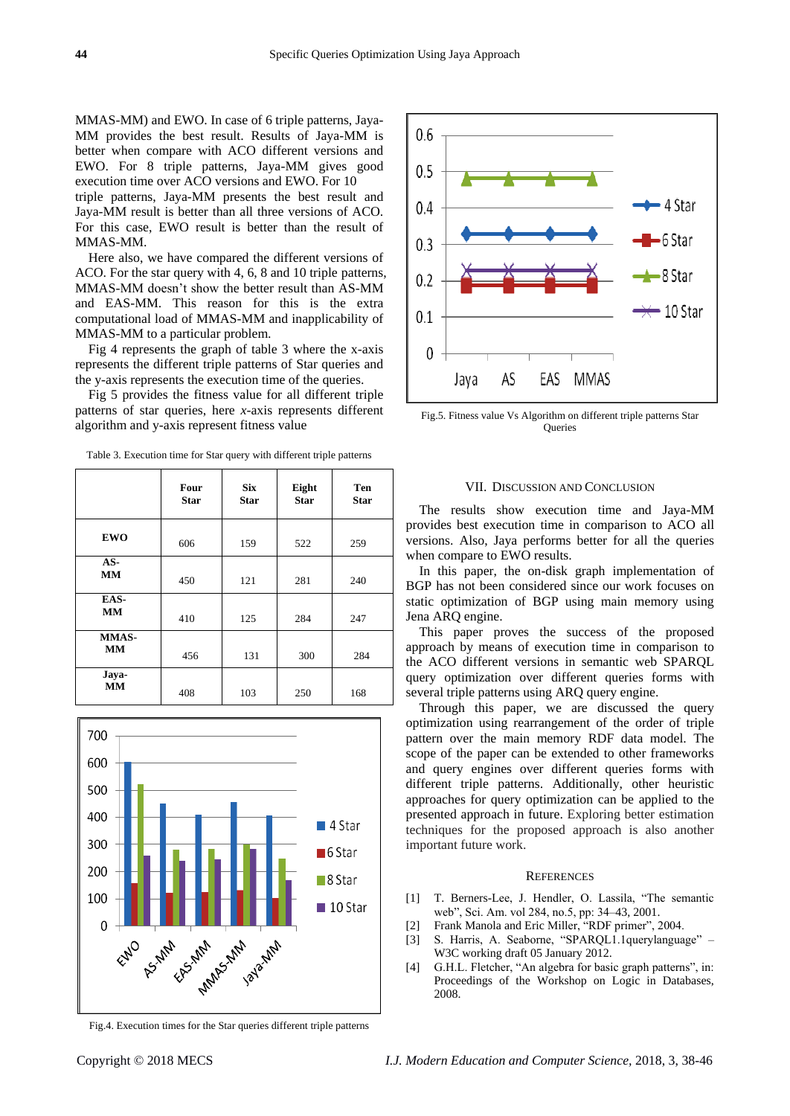MMAS-MM) and EWO. In case of 6 triple patterns, Jaya-MM provides the best result. Results of Jaya-MM is better when compare with ACO different versions and EWO. For 8 triple patterns, Jaya-MM gives good execution time over ACO versions and EWO. For 10 triple patterns, Jaya-MM presents the best result and Jaya-MM result is better than all three versions of ACO. For this case, EWO result is better than the result of MMAS-MM.

Here also, we have compared the different versions of ACO. For the star query with 4, 6, 8 and 10 triple patterns, MMAS-MM doesn't show the better result than AS-MM and EAS-MM. This reason for this is the extra computational load of MMAS-MM and inapplicability of MMAS-MM to a particular problem.

Fig 4 represents the graph of table 3 where the x-axis represents the different triple patterns of Star queries and the y-axis represents the execution time of the queries.

Fig 5 provides the fitness value for all different triple patterns of star queries, here *x*-axis represents different algorithm and y-axis represent fitness value

|                           | Four<br><b>Star</b> | <b>Six</b><br><b>Star</b> | Eight<br><b>Star</b> | Ten<br><b>Star</b> |
|---------------------------|---------------------|---------------------------|----------------------|--------------------|
| <b>EWO</b>                | 606                 | 159                       | 522                  | 259                |
| AS-<br><b>MM</b>          | 450                 | 121                       | 281                  | 240                |
| EAS-<br>MM                | 410                 | 125                       | 284                  | 247                |
| <b>MMAS-</b><br><b>MM</b> | 456                 | 131                       | 300                  | 284                |
| Jaya-<br><b>MM</b>        | 408                 | 103                       | 250                  | 168                |

Table 3. Execution time for Star query with different triple patterns



Fig.4. Execution times for the Star queries different triple patterns



Fig.5. Fitness value Vs Algorithm on different triple patterns Star Queries

#### VII. DISCUSSION AND CONCLUSION

The results show execution time and Jaya-MM provides best execution time in comparison to ACO all versions. Also, Jaya performs better for all the queries when compare to EWO results.

In this paper, the on-disk graph implementation of BGP has not been considered since our work focuses on static optimization of BGP using main memory using Jena ARQ engine.

This paper proves the success of the proposed approach by means of execution time in comparison to the ACO different versions in semantic web SPARQL query optimization over different queries forms with several triple patterns using ARQ query engine.

Through this paper, we are discussed the query optimization using rearrangement of the order of triple pattern over the main memory RDF data model. The scope of the paper can be extended to other frameworks and query engines over different queries forms with different triple patterns. Additionally, other heuristic approaches for query optimization can be applied to the presented approach in future. Exploring better estimation techniques for the proposed approach is also another important future work.

# **REFERENCES**

- [1] T. Berners-Lee, J. Hendler, O. Lassila, "The semantic web", Sci. Am. vol 284, no.5, pp: 34–43, 2001.
- [2] Frank Manola and Eric Miller, "RDF primer", 2004.
- [3] S. Harris, A. Seaborne, "SPARQL1.1querylanguage" W3C working draft 05 January 2012.
- [4] G.H.L. Fletcher, "An algebra for basic graph patterns", in: Proceedings of the Workshop on Logic in Databases, 2008.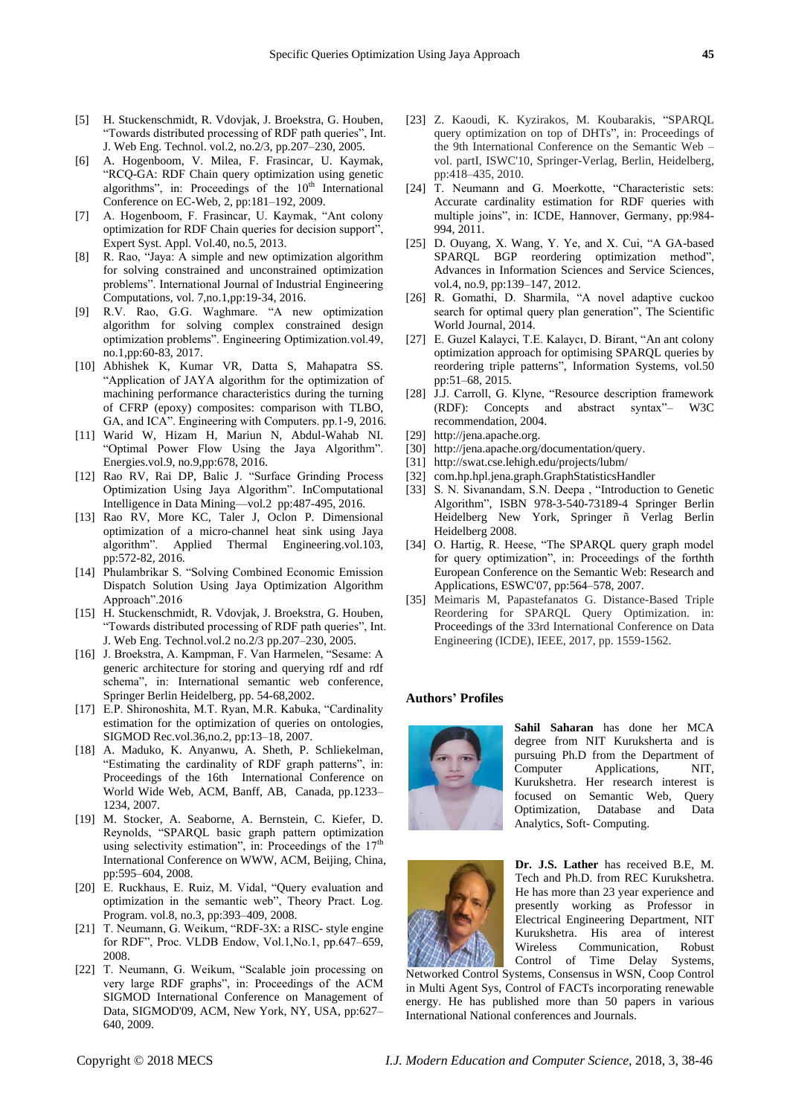- [5] H. Stuckenschmidt, R. Vdovjak, J. Broekstra, G. Houben, "Towards distributed processing of RDF path queries", Int. J. Web Eng. Technol. vol.2, no.2/3, pp.207–230, 2005.
- [6] A. Hogenboom, V. Milea, F. Frasincar, U. Kaymak, "RCQ-GA: RDF Chain query optimization using genetic algorithms", in: Proceedings of the  $10<sup>th</sup>$  International Conference on EC-Web, 2, pp:181–192, 2009.
- [7] A. Hogenboom, F. Frasincar, U. Kaymak, "Ant colony optimization for RDF Chain queries for decision support", Expert Syst. Appl. Vol.40, no.5, 2013.
- [8] R. Rao, "Jaya: A simple and new optimization algorithm for solving constrained and unconstrained optimization problems". International Journal of Industrial Engineering Computations, vol. 7,no.1,pp:19-34, 2016.
- [9] R.V. Rao, G.G. Waghmare. "A new optimization algorithm for solving complex constrained design optimization problems". Engineering Optimization.vol.49, no.1,pp:60-83, 2017.
- [10] Abhishek K, Kumar VR, Datta S, Mahapatra SS. "Application of JAYA algorithm for the optimization of machining performance characteristics during the turning of CFRP (epoxy) composites: comparison with TLBO, GA, and ICA". Engineering with Computers. pp.1-9, 2016.
- [11] Warid W, Hizam H, Mariun N, Abdul-Wahab NI. "Optimal Power Flow Using the Jaya Algorithm". Energies.vol.9, no.9,pp:678, 2016.
- [12] Rao RV, Rai DP, Balic J. "Surface Grinding Process Optimization Using Jaya Algorithm". InComputational Intelligence in Data Mining—vol.2 pp:487-495, 2016.
- [13] Rao RV, More KC, Taler J, Oclon P. Dimensional optimization of a micro-channel heat sink using Jaya algorithm". Applied Thermal Engineering.vol.103, pp:572-82, 2016.
- [14] Phulambrikar S. "Solving Combined Economic Emission Dispatch Solution Using Jaya Optimization Algorithm Approach".2016
- [15] H. Stuckenschmidt, R. Vdovjak, J. Broekstra, G. Houben, "Towards distributed processing of RDF path queries", Int. J. Web Eng. Technol.vol.2 no.2/3 pp.207–230, 2005.
- [16] J. Broekstra, A. Kampman, F. Van Harmelen, "Sesame: A generic architecture for storing and querying rdf and rdf schema", in: International semantic web conference, Springer Berlin Heidelberg, pp. 54-68,2002.
- [17] E.P. Shironoshita, M.T. Ryan, M.R. Kabuka, "Cardinality estimation for the optimization of queries on ontologies, SIGMOD Rec.vol.36,no.2, pp:13–18, 2007.
- [18] A. Maduko, K. Anyanwu, A. Sheth, P. Schliekelman, "Estimating the cardinality of RDF graph patterns", in: Proceedings of the 16th International Conference on World Wide Web, ACM, Banff, AB, Canada, pp.1233– 1234, 2007.
- [19] M. Stocker, A. Seaborne, A. Bernstein, C. Kiefer, D. Reynolds, "SPARQL basic graph pattern optimization using selectivity estimation", in: Proceedings of the  $17<sup>th</sup>$ International Conference on WWW, ACM, Beijing, China, pp:595–604, 2008.
- [20] E. Ruckhaus, E. Ruiz, M. Vidal, "Query evaluation and optimization in the semantic web", Theory Pract. Log. Program. vol.8, no.3, pp:393–409, 2008.
- [21] T. Neumann, G. Weikum, "RDF-3X: a RISC- style engine for RDF", Proc. VLDB Endow, Vol.1,No.1, pp.647–659, 2008.
- [22] T. Neumann, G. Weikum, "Scalable join processing on very large RDF graphs", in: Proceedings of the ACM SIGMOD International Conference on Management of Data, SIGMOD'09, ACM, New York, NY, USA, pp:627– 640, 2009.
- [23] Z. Kaoudi, K. Kyzirakos, M. Koubarakis, "SPARQL query optimization on top of DHTs", in: Proceedings of the 9th International Conference on the Semantic Web – vol. partI, ISWC'10, Springer-Verlag, Berlin, Heidelberg, pp:418–435, 2010.
- [24] T. Neumann and G. Moerkotte, "Characteristic sets: Accurate cardinality estimation for RDF queries with multiple joins", in: ICDE, Hannover, Germany, pp:984- 994, 2011.
- [25] D. Ouyang, X. Wang, Y. Ye, and X. Cui, "A GA-based SPARQL BGP reordering optimization method", Advances in Information Sciences and Service Sciences, vol.4, no.9, pp:139–147, 2012.
- [26] R. Gomathi, D. Sharmila, "A novel adaptive cuckoo search for optimal query plan generation", The Scientific World Journal, 2014.
- [27] E. Guzel Kalayci, T.E. Kalaycı, D. Birant, "An ant colony optimization approach for optimising SPARQL queries by reordering triple patterns", Information Systems, vol.50 pp:51–68, 2015*.*
- [28] J.J. Carroll, G. Klyne, "Resource description framework (RDF): Concepts and abstract syntax"– W3C recommendation, 2004.
- [29] [http://jena.apache.org.](http://jena.apache.org/)
- [30] [http://jena.apache.org/documentation/query.](http://jena.apache.org/documentation/query)
- [31] <http://swat.cse.lehigh.edu/projects/lubm/>
- [32] com.hp.hpl.jena.graph.GraphStatisticsHandler
- [33] S. N. Sivanandam, S.N. Deepa, "Introduction to Genetic Algorithm", ISBN 978-3-540-73189-4 Springer Berlin Heidelberg New York, Springer ñ Verlag Berlin Heidelberg 2008.
- [34] O. Hartig, R. Heese, "The SPARQL query graph model for query optimization", in: Proceedings of the forthth European Conference on the Semantic Web: Research and Applications, ESWC'07, pp:564–578, 2007.
- [35] Meimaris M, Papastefanatos G. Distance-Based Triple Reordering for SPARQL Query Optimization. in: Proceedings of the 33rd International Conference on Data Engineering (ICDE), IEEE, 2017, pp. 1559-1562.

#### **Authors' Profiles**



**Sahil Saharan** has done her MCA degree from NIT Kuruksherta and is pursuing Ph.D from the Department of Computer Applications, NIT, Kurukshetra. Her research interest is focused on Semantic Web, Query Optimization, Database and Data Analytics, Soft- Computing.



**Dr. J.S. Lather** has received B.E, M. Tech and Ph.D. from REC Kurukshetra. He has more than 23 year experience and presently working as Professor in Electrical Engineering Department, NIT Kurukshetra. His area of interest Wireless Communication, Robust Control of Time Delay Systems,

Networked Control Systems, Consensus in WSN, Coop Control in Multi Agent Sys, Control of FACTs incorporating renewable energy. He has published more than 50 papers in various International National conferences and Journals.